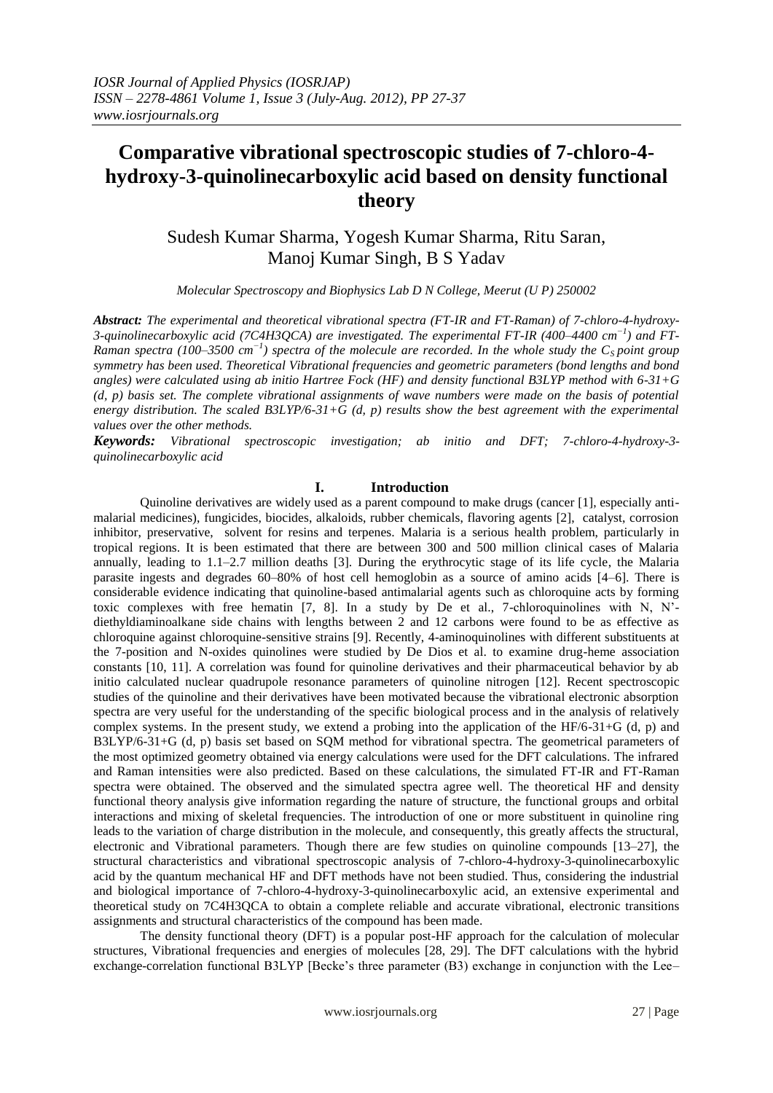# **Comparative vibrational spectroscopic studies of 7-chloro-4 hydroxy-3-quinolinecarboxylic acid based on density functional theory**

Sudesh Kumar Sharma, Yogesh Kumar Sharma, Ritu Saran, Manoj Kumar Singh, B S Yadav

*Molecular Spectroscopy and Biophysics Lab D N College, Meerut (U P) 250002*

*Abstract: The experimental and theoretical vibrational spectra (FT-IR and FT-Raman) of 7-chloro-4-hydroxy-3-quinolinecarboxylic acid (7C4H3QCA) are investigated. The experimental FT-IR (400–4400 cm−1 ) and FT-Raman spectra (100–3500 cm<sup>-1</sup>) spectra of the molecule are recorded. In the whole study the C<sub>S</sub> point group symmetry has been used. Theoretical Vibrational frequencies and geometric parameters (bond lengths and bond angles) were calculated using ab initio Hartree Fock (HF) and density functional B3LYP method with 6-31+G (d, p) basis set. The complete vibrational assignments of wave numbers were made on the basis of potential energy distribution. The scaled B3LYP/6-31+G (d, p) results show the best agreement with the experimental values over the other methods.*

*Keywords: Vibrational spectroscopic investigation; ab initio and DFT; 7-chloro-4-hydroxy-3 quinolinecarboxylic acid*

#### **I. Introduction**

Quinoline derivatives are widely used as a parent compound to make drugs (cancer [1], especially antimalarial medicines), fungicides, biocides, alkaloids, rubber chemicals, flavoring agents [2], catalyst, corrosion inhibitor, preservative, solvent for resins and terpenes. Malaria is a serious health problem, particularly in tropical regions. It is been estimated that there are between 300 and 500 million clinical cases of Malaria annually, leading to 1.1–2.7 million deaths [3]. During the erythrocytic stage of its life cycle, the Malaria parasite ingests and degrades 60–80% of host cell hemoglobin as a source of amino acids [4–6]. There is considerable evidence indicating that quinoline-based antimalarial agents such as chloroquine acts by forming toxic complexes with free hematin [7, 8]. In a study by De et al., 7-chloroquinolines with N, N' diethyldiaminoalkane side chains with lengths between 2 and 12 carbons were found to be as effective as chloroquine against chloroquine-sensitive strains [9]. Recently, 4-aminoquinolines with different substituents at the 7-position and N-oxides quinolines were studied by De Dios et al. to examine drug-heme association constants [10, 11]. A correlation was found for quinoline derivatives and their pharmaceutical behavior by ab initio calculated nuclear quadrupole resonance parameters of quinoline nitrogen [12]. Recent spectroscopic studies of the quinoline and their derivatives have been motivated because the vibrational electronic absorption spectra are very useful for the understanding of the specific biological process and in the analysis of relatively complex systems. In the present study, we extend a probing into the application of the HF/6-31+G (d, p) and B3LYP/6-31+G (d, p) basis set based on SQM method for vibrational spectra. The geometrical parameters of the most optimized geometry obtained via energy calculations were used for the DFT calculations. The infrared and Raman intensities were also predicted. Based on these calculations, the simulated FT-IR and FT-Raman spectra were obtained. The observed and the simulated spectra agree well. The theoretical HF and density functional theory analysis give information regarding the nature of structure, the functional groups and orbital interactions and mixing of skeletal frequencies. The introduction of one or more substituent in quinoline ring leads to the variation of charge distribution in the molecule, and consequently, this greatly affects the structural, electronic and Vibrational parameters. Though there are few studies on quinoline compounds [13–27], the structural characteristics and vibrational spectroscopic analysis of 7-chloro-4-hydroxy-3-quinolinecarboxylic acid by the quantum mechanical HF and DFT methods have not been studied. Thus, considering the industrial and biological importance of 7-chloro-4-hydroxy-3-quinolinecarboxylic acid, an extensive experimental and theoretical study on 7C4H3QCA to obtain a complete reliable and accurate vibrational, electronic transitions assignments and structural characteristics of the compound has been made.

The density functional theory (DFT) is a popular post-HF approach for the calculation of molecular structures, Vibrational frequencies and energies of molecules [28, 29]. The DFT calculations with the hybrid exchange-correlation functional B3LYP [Becke's three parameter (B3) exchange in conjunction with the Lee–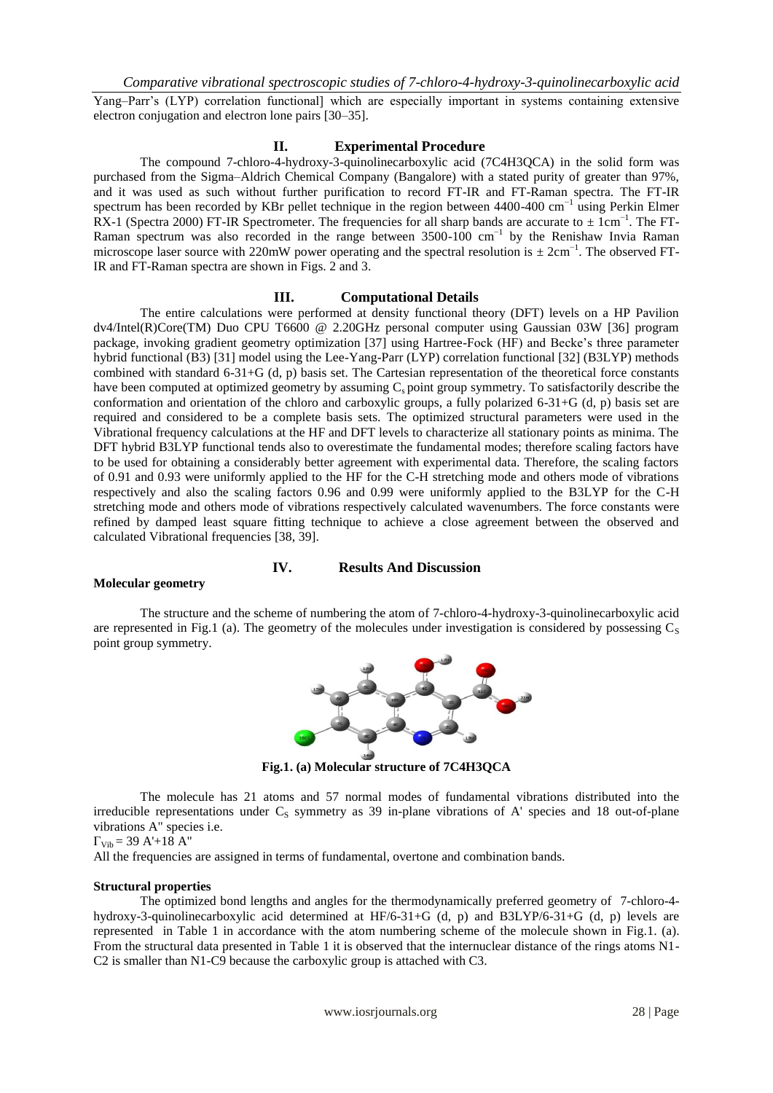Yang–Parr's (LYP) correlation functional] which are especially important in systems containing extensive electron conjugation and electron lone pairs [30–35].

#### **II. Experimental Procedure**

The compound 7-chloro-4-hydroxy-3-quinolinecarboxylic acid (7C4H3QCA) in the solid form was purchased from the Sigma–Aldrich Chemical Company (Bangalore) with a stated purity of greater than 97%, and it was used as such without further purification to record FT-IR and FT-Raman spectra. The FT-IR spectrum has been recorded by KBr pellet technique in the region between 4400-400 cm<sup>-1</sup> using Perkin Elmer RX-1 (Spectra 2000) FT-IR Spectrometer. The frequencies for all sharp bands are accurate to  $\pm$  1cm<sup>-1</sup>. The FT-Raman spectrum was also recorded in the range between 3500-100 cm<sup>-1</sup> by the Renishaw Invia Raman microscope laser source with 220mW power operating and the spectral resolution is  $\pm 2$ cm<sup>-1</sup>. The observed FT-IR and FT-Raman spectra are shown in Figs. 2 and 3.

#### **III. Computational Details**

The entire calculations were performed at density functional theory (DFT) levels on a HP Pavilion dv4/Intel(R)Core(TM) Duo CPU T6600 @ 2.20GHz personal computer using Gaussian 03W [36] program package, invoking gradient geometry optimization [37] using Hartree-Fock (HF) and Becke's three parameter hybrid functional (B3) [31] model using the Lee-Yang-Parr (LYP) correlation functional [32] (B3LYP) methods combined with standard 6-31+G (d, p) basis set. The Cartesian representation of the theoretical force constants have been computed at optimized geometry by assuming  $C_s$  point group symmetry. To satisfactorily describe the conformation and orientation of the chloro and carboxylic groups, a fully polarized 6-31+G (d, p) basis set are required and considered to be a complete basis sets. The optimized structural parameters were used in the Vibrational frequency calculations at the HF and DFT levels to characterize all stationary points as minima. The DFT hybrid B3LYP functional tends also to overestimate the fundamental modes; therefore scaling factors have to be used for obtaining a considerably better agreement with experimental data. Therefore, the scaling factors of 0.91 and 0.93 were uniformly applied to the HF for the C-H stretching mode and others mode of vibrations respectively and also the scaling factors 0.96 and 0.99 were uniformly applied to the B3LYP for the C-H stretching mode and others mode of vibrations respectively calculated wavenumbers. The force constants were refined by damped least square fitting technique to achieve a close agreement between the observed and calculated Vibrational frequencies [38, 39].

#### **IV. Results And Discussion**

#### **Molecular geometry**

The structure and the scheme of numbering the atom of 7-chloro-4-hydroxy-3-quinolinecarboxylic acid are represented in Fig.1 (a). The geometry of the molecules under investigation is considered by possessing  $C_S$ point group symmetry.



**Fig.1. (a) Molecular structure of 7C4H3QCA**

The molecule has 21 atoms and 57 normal modes of fundamental vibrations distributed into the irreducible representations under  $C_s$  symmetry as 39 in-plane vibrations of A' species and 18 out-of-plane vibrations A" species i.e.

 $\Gamma_{\text{Vib}} = 39 \text{ A} + 18 \text{ A}$ "

All the frequencies are assigned in terms of fundamental, overtone and combination bands.

#### **Structural properties**

The optimized bond lengths and angles for the thermodynamically preferred geometry of 7-chloro-4 hydroxy-3-quinolinecarboxylic acid determined at HF/6-31+G (d, p) and B3LYP/6-31+G (d, p) levels are represented in Table 1 in accordance with the atom numbering scheme of the molecule shown in Fig.1. (a). From the structural data presented in Table 1 it is observed that the internuclear distance of the rings atoms N1- C2 is smaller than N1-C9 because the carboxylic group is attached with C3.

www.iosrjournals.org 28 | Page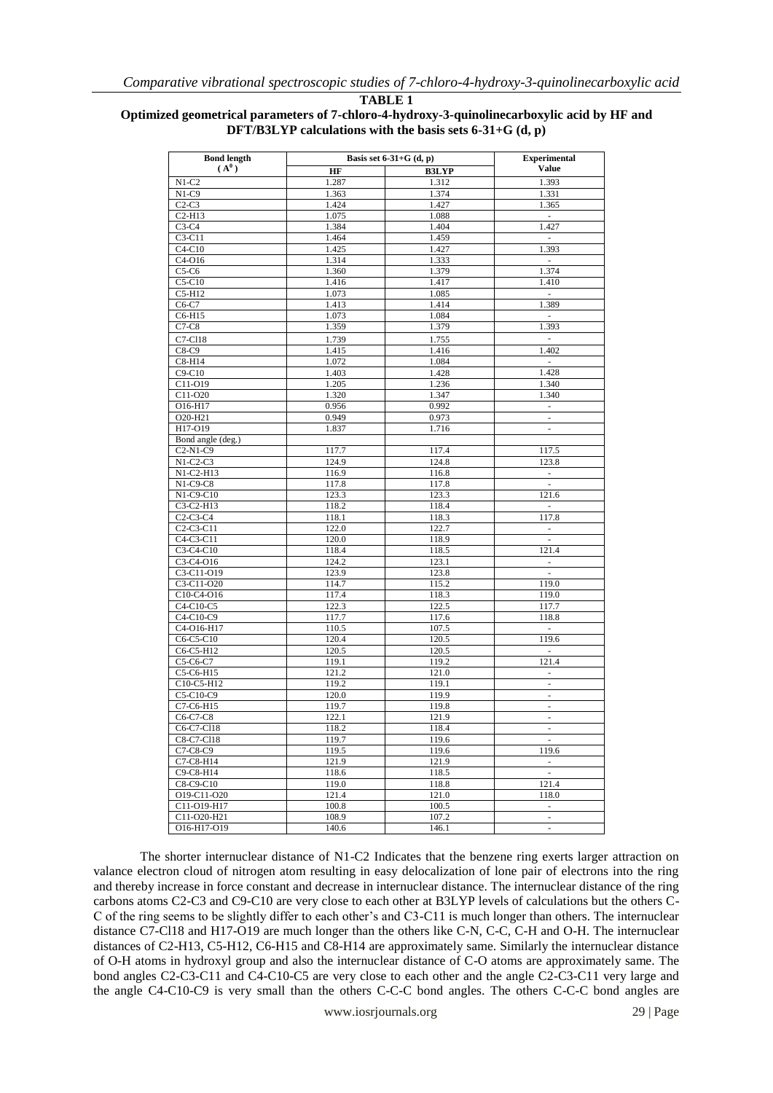| TABLE |  |
|-------|--|
|-------|--|

## **Optimized geometrical parameters of 7-chloro-4-hydroxy-3-quinolinecarboxylic acid by HF and DFT/B3LYP calculations with the basis sets 6-31+G (d, p)**

| <b>Bond length</b>                                            |                | Basis set $6-31+G$ (d, p) | <b>Experimental</b>                       |  |  |  |
|---------------------------------------------------------------|----------------|---------------------------|-------------------------------------------|--|--|--|
| $(A^0)$                                                       | HF             | <b>B3LYP</b>              | <b>Value</b>                              |  |  |  |
| $N1-C2$                                                       | 1.287          | 1.312                     | 1.393                                     |  |  |  |
| $N1-C9$                                                       | 1.363          | 1.374                     | 1.331                                     |  |  |  |
| $C2-C3$                                                       | 1.424          | 1.427                     | 1.365                                     |  |  |  |
| $C2-H13$                                                      | 1.075          | 1.088                     | $\sim$                                    |  |  |  |
| $C3-C4$                                                       | 1.384          | 1.404                     | 1.427                                     |  |  |  |
| $C3-C11$                                                      | 1.464          | 1.459                     | $\overline{\phantom{a}}$                  |  |  |  |
| $C4-C10$                                                      | 1.425          | 1.427                     | 1.393                                     |  |  |  |
| $C4-O16$                                                      | 1.314          | 1.333                     | $\sim$                                    |  |  |  |
| $C5-C6$                                                       | 1.360          | 1.379                     | 1.374                                     |  |  |  |
| $C5-C10$                                                      | 1.416          | 1.417                     | 1.410                                     |  |  |  |
| $C5-H12$                                                      | 1.073          | 1.085                     | $\overline{\phantom{a}}$                  |  |  |  |
| C6-C7                                                         | 1.413          | 1.414                     | 1.389                                     |  |  |  |
| C6-H15                                                        | 1.073          | 1.084                     | $\omega$                                  |  |  |  |
| $C7-C8$                                                       | 1.359          | 1.379                     | 1.393                                     |  |  |  |
| C7-C118                                                       | 1.739          | 1.755                     | $\overline{\phantom{a}}$                  |  |  |  |
| $C8-C9$                                                       | 1.415          | 1.416                     | 1.402                                     |  |  |  |
| $C8-H14$                                                      | 1.072          | 1.084                     | ÷,                                        |  |  |  |
| $C9-C10$                                                      | 1.403          | 1.428                     | 1.428                                     |  |  |  |
| C11-O19                                                       | 1.205          | 1.236                     | 1.340                                     |  |  |  |
| C11-O20                                                       | 1.320          | 1.347                     | 1.340                                     |  |  |  |
| O16-H17                                                       | 0.956          | 0.992                     | $\overline{\phantom{a}}$                  |  |  |  |
| O20-H21                                                       | 0.949          | 0.973                     | $\overline{\phantom{a}}$                  |  |  |  |
| H17-O19                                                       | 1.837          | 1.716                     | ä,                                        |  |  |  |
| Bond angle (deg.)                                             |                |                           |                                           |  |  |  |
| $C2-N1-C9$                                                    | 117.7          | 117.4                     | 117.5                                     |  |  |  |
| $N1-C2-C3$                                                    | 124.9          | 124.8                     | 123.8                                     |  |  |  |
| N1-C2-H13                                                     | 116.9          | 116.8                     | $\overline{\phantom{a}}$                  |  |  |  |
| $N1-C9-C8$                                                    | 117.8          | 117.8                     | $\overline{\phantom{a}}$                  |  |  |  |
| $N1-C9-C10$                                                   | 123.3          | 123.3                     | 121.6                                     |  |  |  |
| C3-C2-H13                                                     | 118.2          | 118.4                     | $\sim$                                    |  |  |  |
| $C2-C3-C4$<br>C <sub>2</sub> -C <sub>3</sub> -C <sub>11</sub> | 118.1<br>122.0 | 118.3                     | 117.8                                     |  |  |  |
| C4-C3-C11                                                     | 120.0          | 122.7<br>118.9            | $\overline{\phantom{a}}$<br>$\mathcal{L}$ |  |  |  |
| C3-C4-C10                                                     | 118.4          | 118.5                     | 121.4                                     |  |  |  |
| C3-C4-O16                                                     | 124.2          | 123.1                     | $\overline{\phantom{a}}$                  |  |  |  |
| C3-C11-O19                                                    | 123.9          | 123.8                     | Ξ                                         |  |  |  |
| C3-C11-O20                                                    | 114.7          | 115.2                     | 119.0                                     |  |  |  |
| C10-C4-O16                                                    | 117.4          | 118.3                     | 119.0                                     |  |  |  |
| C4-C10-C5                                                     | 122.3          | 122.5                     | 117.7                                     |  |  |  |
| C4-C10-C9                                                     | 117.7          | 117.6                     | 118.8                                     |  |  |  |
| $\overline{C4}$ -O16-H17                                      | 110.5          | 107.5                     | $\overline{\phantom{a}}$                  |  |  |  |
| C6-C5-C10                                                     | 120.4          | 120.5                     | 119.6                                     |  |  |  |
| C6-C5-H12                                                     | 120.5          | 120.5                     | $\frac{1}{2}$                             |  |  |  |
| C5-C6-C7                                                      | 119.1          | 119.2                     | 121.4                                     |  |  |  |
| C5-C6-H15                                                     | 121.2          | 121.0                     | $\blacksquare$                            |  |  |  |
| C10-C5-H12                                                    | 119.2          | 119.1                     | $\overline{\phantom{a}}$                  |  |  |  |
| C5-C10-C9                                                     | 120.0          | 119.9                     | $\frac{1}{2}$                             |  |  |  |
| C7-C6-H15                                                     | 119.7          | 119.8                     | $\overline{\phantom{a}}$                  |  |  |  |
| C6-C7-C8                                                      | 122.1          | 121.9                     | $\blacksquare$                            |  |  |  |
| C6-C7-C118                                                    | 118.2          | 118.4                     | $\Box$                                    |  |  |  |
| C8-C7-C118                                                    | 119.7          | 119.6                     | $\overline{\phantom{a}}$                  |  |  |  |
| C7-C8-C9                                                      | 119.5          | 119.6                     | 119.6                                     |  |  |  |
| C7-C8-H14                                                     | 121.9          | 121.9                     | $\overline{\phantom{a}}$                  |  |  |  |
| C9-C8-H14                                                     | 118.6          | 118.5                     | $\sim$                                    |  |  |  |
| C8-C9-C10                                                     | 119.0          | 118.8                     | 121.4                                     |  |  |  |
| O19-C11-O20                                                   | 121.4          | 121.0                     | 118.0                                     |  |  |  |
| C11-O19-H17                                                   | 100.8          | 100.5                     | $\sim$                                    |  |  |  |
| C11-O20-H21                                                   | 108.9          | 107.2                     | $\overline{\phantom{a}}$                  |  |  |  |
| O16-H17-O19                                                   | 140.6          | 146.1                     | ÷,                                        |  |  |  |

The shorter internuclear distance of N1-C2 Indicates that the benzene ring exerts larger attraction on valance electron cloud of nitrogen atom resulting in easy delocalization of lone pair of electrons into the ring and thereby increase in force constant and decrease in internuclear distance. The internuclear distance of the ring carbons atoms C2-C3 and C9-C10 are very close to each other at B3LYP levels of calculations but the others C-C of the ring seems to be slightly differ to each other's and C3-C11 is much longer than others. The internuclear distance C7-Cl18 and H17-O19 are much longer than the others like C-N, C-C, C-H and O-H. The internuclear distances of C2-H13, C5-H12, C6-H15 and C8-H14 are approximately same. Similarly the internuclear distance of O-H atoms in hydroxyl group and also the internuclear distance of C-O atoms are approximately same. The bond angles C2-C3-C11 and C4-C10-C5 are very close to each other and the angle C2-C3-C11 very large and the angle C4-C10-C9 is very small than the others C-C-C bond angles. The others C-C-C bond angles are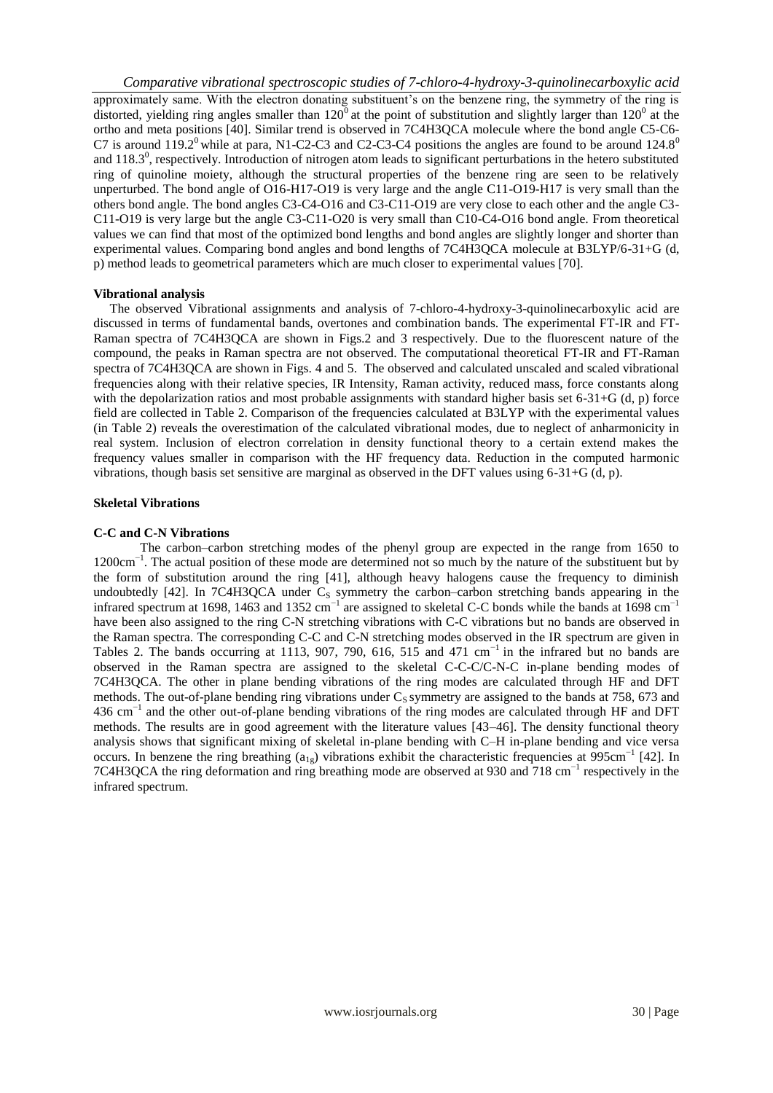*Comparative vibrational spectroscopic studies of 7-chloro-4-hydroxy-3-quinolinecarboxylic acid*  approximately same. With the electron donating substituent's on the benzene ring, the symmetry of the ring is distorted, yielding ring angles smaller than  $120^{\circ}$  at the point of substitution and slightly larger than  $120^{\circ}$  at the ortho and meta positions [40]. Similar trend is observed in 7C4H3QCA molecule where the bond angle C5-C6- C7 is around  $119.2^{\circ}$  while at para, N1-C2-C3 and C2-C3-C4 positions the angles are found to be around  $124.8^{\circ}$ and  $118.3^\circ$ , respectively. Introduction of nitrogen atom leads to significant perturbations in the hetero substituted ring of quinoline moiety, although the structural properties of the benzene ring are seen to be relatively unperturbed. The bond angle of O16-H17-O19 is very large and the angle C11-O19-H17 is very small than the others bond angle. The bond angles C3-C4-O16 and C3-C11-O19 are very close to each other and the angle C3- C11-O19 is very large but the angle C3-C11-O20 is very small than C10-C4-O16 bond angle. From theoretical values we can find that most of the optimized bond lengths and bond angles are slightly longer and shorter than experimental values. Comparing bond angles and bond lengths of 7C4H3QCA molecule at B3LYP/6-31+G (d, p) method leads to geometrical parameters which are much closer to experimental values [70].

#### **Vibrational analysis**

The observed Vibrational assignments and analysis of 7-chloro-4-hydroxy-3-quinolinecarboxylic acid are discussed in terms of fundamental bands, overtones and combination bands. The experimental FT-IR and FT-Raman spectra of 7C4H3QCA are shown in Figs.2 and 3 respectively. Due to the fluorescent nature of the compound, the peaks in Raman spectra are not observed. The computational theoretical FT-IR and FT-Raman spectra of 7C4H3QCA are shown in Figs. 4 and 5. The observed and calculated unscaled and scaled vibrational frequencies along with their relative species, IR Intensity, Raman activity, reduced mass, force constants along with the depolarization ratios and most probable assignments with standard higher basis set 6-31+G (d, p) force field are collected in Table 2. Comparison of the frequencies calculated at B3LYP with the experimental values (in Table 2) reveals the overestimation of the calculated vibrational modes, due to neglect of anharmonicity in real system. Inclusion of electron correlation in density functional theory to a certain extend makes the frequency values smaller in comparison with the HF frequency data. Reduction in the computed harmonic vibrations, though basis set sensitive are marginal as observed in the DFT values using 6-31+G (d, p).

#### **Skeletal Vibrations**

#### **C-C and C-N Vibrations**

The carbon–carbon stretching modes of the phenyl group are expected in the range from 1650 to 1200cm−1 . The actual position of these mode are determined not so much by the nature of the substituent but by the form of substitution around the ring [41], although heavy halogens cause the frequency to diminish undoubtedly [42]. In 7C4H3QCA under  $C<sub>S</sub>$  symmetry the carbon–carbon stretching bands appearing in the infrared spectrum at 1698, 1463 and 1352 cm<sup>-1</sup> are assigned to skeletal C-C bonds while the bands at 1698 cm<sup>-1</sup> have been also assigned to the ring C-N stretching vibrations with C-C vibrations but no bands are observed in the Raman spectra. The corresponding C-C and C-N stretching modes observed in the IR spectrum are given in Tables 2. The bands occurring at 1113, 907, 790, 616, 515 and 471 cm<sup>-1</sup> in the infrared but no bands are observed in the Raman spectra are assigned to the skeletal C-C-C/C-N-C in-plane bending modes of 7C4H3QCA. The other in plane bending vibrations of the ring modes are calculated through HF and DFT methods. The out-of-plane bending ring vibrations under  $C<sub>S</sub>$  symmetry are assigned to the bands at 758, 673 and 436 cm<sup>-1</sup> and the other out-of-plane bending vibrations of the ring modes are calculated through HF and DFT methods. The results are in good agreement with the literature values [43–46]. The density functional theory analysis shows that significant mixing of skeletal in-plane bending with C–H in-plane bending and vice versa occurs. In benzene the ring breathing  $(a_{1g})$  vibrations exhibit the characteristic frequencies at 995cm<sup>-1</sup> [42]. In 7C4H3QCA the ring deformation and ring breathing mode are observed at 930 and 718 cm<sup>-1</sup> respectively in the infrared spectrum.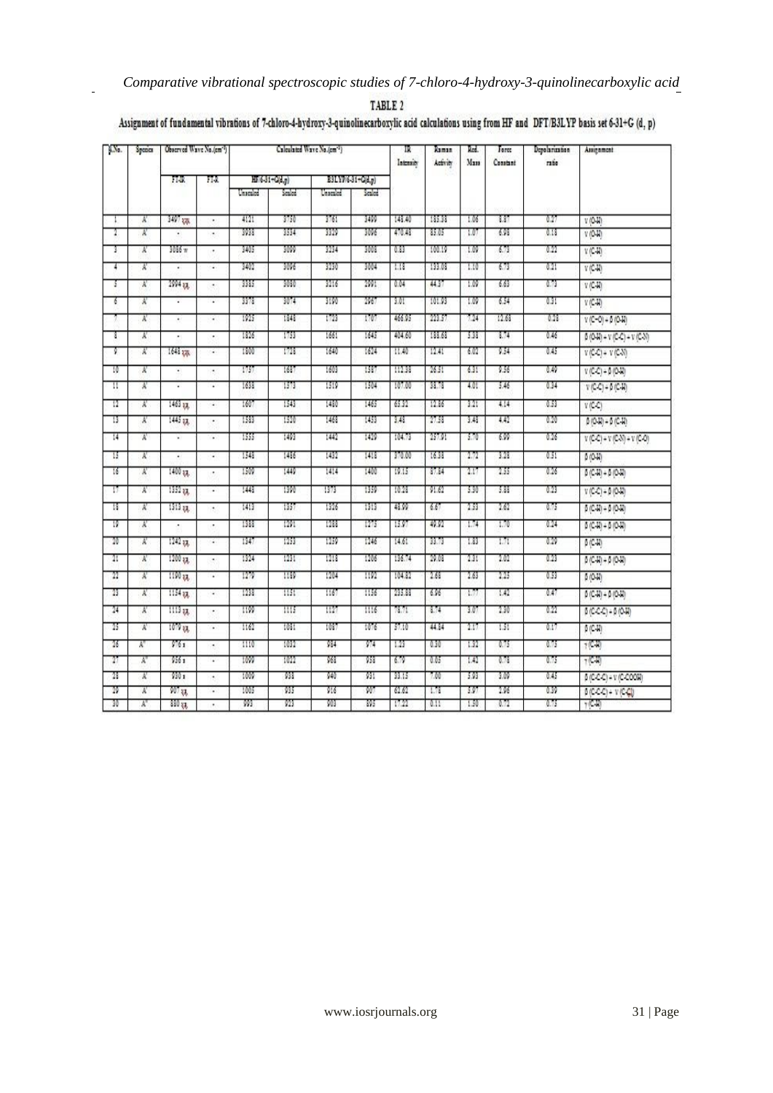## *Comparative vibrational spectroscopic studies of 7-chloro-4-hydroxy-3-quinolinecarboxylic acid*

| TABLE |  |  |  |
|-------|--|--|--|
|       |  |  |  |

 $\mathbf{r}$ 

## Assignment of fundamental vibrations of 7-chloro-4-hydroxy-3-quinolinecarboxylic acid calculations using from HF and DFT/B3LYP basis set 6-31+G (d, p)

| KNo.      | Species |                      | Observed Waye No./em^7) |                | Calculated Wave No./cm <sup>-1</sup> ) |                   |            |                | π<br>Intensity | Raman<br>Activity | Red.<br>Man  | Tarez<br>Constant | Depolarization<br>ratio                                                                        | Augument |
|-----------|---------|----------------------|-------------------------|----------------|----------------------------------------|-------------------|------------|----------------|----------------|-------------------|--------------|-------------------|------------------------------------------------------------------------------------------------|----------|
|           |         | FTUR<br>FIR          |                         | HF/6-31+C/d.p) |                                        | B3LYP/6-31-C(d,p) |            |                |                |                   |              |                   |                                                                                                |          |
|           |         |                      |                         | Unicolor       | Sealed:                                | Unscaled          | Sealed.    |                |                |                   |              |                   |                                                                                                |          |
|           | N       | 3497 878             | ٠                       | 4121           | 3750                                   | 3761              | 3499       | 143.40         | 185.38         | 1.06              | 3.37         | 0.27              | V(0,1)                                                                                         |          |
| 1.        | x       |                      | ٠                       | 3938           | 1514                                   | 3329              | 3096       | 470.48         | 85.05          | 1.07              | 6.98         | 0.18              | V(0, R)                                                                                        |          |
| т         | Χ       | 3036 w               | ٠                       | 3405           | 3009                                   | 3234              | 3008       | 0.33           | 100.19         | 1.09              | 6.73         | 0.22              | V(C, W)                                                                                        |          |
| T         | x       |                      | ٠                       | 3402           | 3096                                   | 3230              | 3004       | 1.13           | 133.03         | 1.10              | 6.73         | 6.21              | $V(C-H)$                                                                                       |          |
| s         | Ä       | $2994 - 34$          | ٠                       | 3385           | 3080                                   | 3216              | 2991       | 0.04           | 44.37          | 1.09              | 6.63         | 0.79              | $V(C-1)$                                                                                       |          |
| ó         | Ν       | ı.                   | ٠                       | 3373           | 3074                                   | 9190              | 2067       | 3.01           | 101.93         | 1.09              | 6.54         | 0.31              | V(C40)                                                                                         |          |
|           | χ       | Ω                    | ¥                       | 1925           | 1848                                   | 1723              | 1707       | 466.95         | 223.57         | 7.24              | 12.63        | 0.28              | $V(C-O) + 6(O-H)$                                                                              |          |
| T.        | N       |                      | ٠                       | 1826           | 1753                                   | 1661              | 1645       | 404.60         | 133.63         | 5.38              | 3.74         | 0.46              | $\beta\left(\text{O-H}\right)+\text{V}\left(\text{C-C}\right)+\text{V}\left(\text{C-N}\right)$ |          |
| Ţ         | X       | 1643 226             | ÷.                      | 1800           | 1728                                   | 1640              | 1624       | 11.40          | 12.41          | 6.02              | 9.54         | 0.45              | $V(C-C) + V(C-N)$                                                                              |          |
| 10        | x       | ٠                    | ٠                       | 1757           | 1687                                   | 1603              | 1587       | 112.33         | 26.51          | 631               | 9.56         | 0.49              | $V(C-C) = 0$ (O-H)                                                                             |          |
| π         | Ä       | ¥.                   | ٠                       | 1638           | 1573                                   | 1519              | 1504       | 107.00         | 33.73          | 4.01              | 5.46         | 0.34              | $V(C-C) + \beta (C-H)$                                                                         |          |
| 12        | x       | 1463 87.             | ÷                       | 1607           | 1543                                   | 1480              | 1465       | 65.32          | 12.36          | 3.21              | 4.14         | 0.53              | $V(C-C)$                                                                                       |          |
| 13        | A.      | 1445 gg              | ×                       | 1583           | 1520                                   | 1468              | 1453       | 3.48           | 27.58          | 3.43              | 4.42         | 0.20              | $0(0.1) - 0(0.1)$                                                                              |          |
| 14        | Χ       | ×.                   | ٠                       | 1555           | 1493                                   | 1442              | 1429       | 104.73         | 257.91         | 3.70              | 6.99         | 0.26              | $V(C-C) = V(C-N) = V(C-C)$                                                                     |          |
| π         | x       | ٠                    | ¥                       | 1543           | 1486                                   | 1432              | 1418       | 370.00         | 16.38          | 2.72              | 3.23         | 0.51              | 0(0.1)                                                                                         |          |
| 16        | Ν       | 1400 gg              |                         | 1509           | 1449                                   | 1414              | 1400       | 19.15          | 3734           | 2.17              | 2.55         | 0.26              | $\beta$ (C-H) + $\beta$ (O-H)                                                                  |          |
| π         | A.      | 1352 33.             | ÷                       | 1443           | 1390                                   | 1979              | 1359       | 10.28          | 91.62          | 3.30              | 3.88         | 0.23              | $V(C-C) = 0$ (0-12)                                                                            |          |
| 18.       | χ       | 1313 gg              | ٠                       | 1413           | 1357                                   | 1926              | 1313       | 48.99          | 6.67           | 2.53              | 2.62         | 0.75              | $5 (CM) + 5 (OH)$                                                                              |          |
| 19        | N       | ٠                    | ٠                       | 1988           | 1291                                   | 1288              | 1275       | 1597           | 49.92          | 1.74              | 1.70         | 0.14              | $0(C - W) + 0 (O - W)$                                                                         |          |
| 20        | Ã       | $1242$ <sub>37</sub> | ÷                       | 1347           | 1253                                   | 1259              | 1246       | 14.61          | 33.73          | 1.83              | 1.71         | 0.29              | $6$ (C-II)                                                                                     |          |
| 21        | Ä       | 1200 x <sub>3</sub>  | ٠                       | 1324           | 1231                                   | 1213              | 1206       | 136.74         | 29.08          | 2.21              | 1.01         | 0.23              | $5(C-1) + 5(O-1)$                                                                              |          |
| 22        | Ν       | 1190 gg              | ٠                       | 1279           | 1189                                   | 1204              | 1192       | 104.32         | 2.68           | 2.63              | 2.25         | 0.53              |                                                                                                |          |
| 23        | x       | 1154 xx.             |                         | 1238           | 1151                                   | 1167              | 1156       | 235.33         | 6.96           | ιM                | 1.42         | 0.47              | 5位期                                                                                            |          |
|           |         |                      | ٠                       |                |                                        |                   |            |                |                |                   | 2.30         |                   | $\beta$ (C-H) + $\beta$ (O-H)                                                                  |          |
| $^{24}$   | N       | 1113x.               | ٠                       | w              | Шš                                     | 1127              | 1116       | 78.71          | 3.74           | 3.07              |              | 0.22              | $\beta(C.C.C) = \beta(O.H)$                                                                    |          |
| 25.       | Ä       | 1079 88              | ٠                       | 1162           | 1031                                   | 1087              | 1076       | \$7.10         | 44.34          | 2.17              | 1.51         | 0.17              | 責任期                                                                                            |          |
| 26        | Ä.      | 9761                 | ٠                       | 1110           | 1032                                   | 934               | 974        | 1.23           | 0.30           | 1.32              | 0.75         | 0.75              | (CM)                                                                                           |          |
| $^{27}$   | X.      | $956 -$              | ٠                       | 1099           | 1022                                   | 968               | 958        | 679            | 0.05           | 1.42              | 0.78         | 0.75              | $7$ (C-H)                                                                                      |          |
| 28        | R       | 930 a                | ٠                       | 1009<br>1005   | 933<br>奶                               | 940<br>916        | 931<br>907 | 33.15<br>62.62 | 7.00<br>1.73   | 5.93<br>197       | 1.09<br>2.96 | 0.45<br>0.39      | $5(C-C) = V(C-C00W)$                                                                           |          |
| 29.<br>30 | π<br>X, | $907$ $53$<br>330 gg | ٠                       | W              | 923                                    | 903               | 195        | 17.22          | 0.11           | 1.50              | 0.72         | 0.75              | $p(CCC) + V(CC)$<br>$7$ (C-R)                                                                  |          |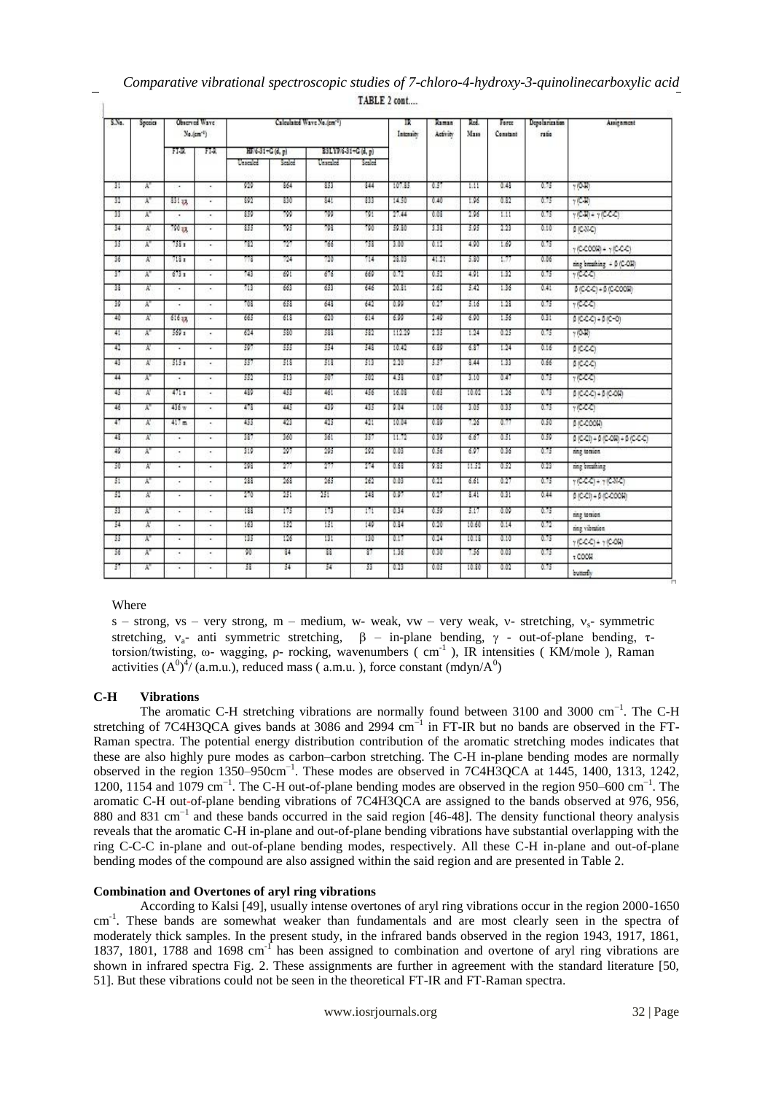| S.No. | Species         |                          | Observed Ways<br>Calculated Wave No./em <sup>-1</sup> )<br>π<br>$N_0$ . $(cm^{-1})$ |                  |                | Intensity         | Raman<br>Activity | Rod.<br>Man | Force<br>Constant | Depolarization<br>ratio | Assignment |      |                                                                                              |
|-------|-----------------|--------------------------|-------------------------------------------------------------------------------------|------------------|----------------|-------------------|-------------------|-------------|-------------------|-------------------------|------------|------|----------------------------------------------------------------------------------------------|
|       |                 | FIR.                     | 11 <sub>1</sub>                                                                     | HF 6-31-C (d, p) |                | B3LYP6-31-C(d, p) |                   |             |                   |                         |            |      |                                                                                              |
|       |                 |                          |                                                                                     | Unicaled         | Scaled         | Unscaled          | Scaled            |             |                   |                         |            |      |                                                                                              |
| π     | Ä.              | $\blacksquare$           | ٠                                                                                   | 929              | 864            | 853               | 344               | 107.85      | 0.57              | ыı                      | 0.48       | 0.75 | $+10 - 11$                                                                                   |
| 32    | X.              | 331.33.                  | ٠                                                                                   | 392              | 330            | 341               | 833               | 14.50       | 0.40              | 1.96                    | 0.82       | 0.75 | $7$ (C-H)                                                                                    |
| n     | Y.              | $\overline{a}$           | ٠                                                                                   | 859              | 799            | 799               | 791               | 27.44       | 0.03              | 2.96                    | ш          | 0.75 | $\gamma$ (C-H) = $\gamma$ (C-C-C)                                                            |
| 34    | x               | 790 au                   | $\cdot$                                                                             | 355              | 795            | 798               | 790               | 59.80       | 338               | 5.95                    | 2.23       | 0.10 | $B(C-N,C)$                                                                                   |
| 35    | A"              | 158 a                    |                                                                                     | 782              | 727            | 766               | 753               | 3.00        | 0.12              | 4.90                    | 1.69       | 0.75 | $\gamma$ (C-COOM) + $\gamma$ (C-C-C)                                                         |
| 36    | A.              | 718 p                    | $\cdot$                                                                             | गाउँ             | 724            | 720               | 714               | 23.03       | 41.21             | 5.80                    | 1.77       | 0.06 | ring breathing = B (C-OM)                                                                    |
| π     | π               | $673 - 1$                | ٠                                                                                   | 743              | 691            | 676               | 669               | 0.72        | 0.52              | 4.91                    | 1.32       | 0.75 | 7(CCT)                                                                                       |
| 38    | A.              | $\cdot$                  | $\cdot$                                                                             | 713              | 663            | 653               | 646               | 20.31       | 2.62              | 5.42                    | 1.36       | 0.41 | $\beta \left( C.C.C \right) + \beta \left( C.C O O H \right)$                                |
| 39    | À.              | ٠.                       | ٠.                                                                                  | 703              | 653            | 643               | 642               | 0.99        | 0.27              | 3.16                    | 1.28       | 0.75 | r(C, C)                                                                                      |
| 40    | x               | 61633.                   | ٠.                                                                                  | 665              | 618            | 620               | 614               | 6.99        | 2.49              | 6.90                    | 1.56       | 0.31 | $0 (C-C) + 0 (C-C)$                                                                          |
| 41    | A"              | 569x                     |                                                                                     | 624              | 530            | 533               | -532              | 112.29      | 235               | 1.24                    | 0.25       | 0.75 | $+10.17$                                                                                     |
| 42    | x               | ٠                        | ٠                                                                                   | 397              | 355            | 554               | 548               | 10.42       | 6.89              | 6.37                    | 1.24       | 0.16 | <b>MCCCI</b>                                                                                 |
| 45    | A.              | 5151                     | ×.                                                                                  | 357              | 518            | 518.              | 513               | 2.20        | 337               | 3.44                    | 1.33       | 0.66 | <b>BICCO</b>                                                                                 |
| 44    | A"              | ٠                        | ٠                                                                                   | 552              | 313            | 507               | 507               | 4.58        | 0.37              | 3.10                    | 0.47       | 0.75 | (CCC)                                                                                        |
| 45    | N               | 4711                     |                                                                                     | 439              | 455            | 46!               | 456               | 16.03       | 0.65              | 10.02                   | 1.26       | 6.75 | $\beta(C.C.C) + \beta(C.OR)$                                                                 |
| 46    | Y.              | 436 w                    | ٠                                                                                   | 478              | 445            | 439               | 435               | 9.04        | 1.06              | 3.05                    | 0.35       | 0.75 | 10000                                                                                        |
| т     | x               | 417m                     |                                                                                     | 455              | 423            | 425               | 421               | 10.04       | 0.39              | 7.26                    | 0.77       | 0.50 | BIC-COOM                                                                                     |
| 48    | X.              | $\cdot$                  | $\cdot$                                                                             | 387              | 360            | 361               | 357               | 11.72       | 0.39              | 6.67                    | 0.51       | 0.59 | $\beta \left( C_1 C_1 \right) + \beta \left( C_2 C_2 \right) + \beta \left( C_1 C_2 \right)$ |
| 49    | A"              | ٠.                       | ٠                                                                                   | 919              | 197            | 295               | 292               | 0.03        | 0.56              | 697                     | 0.36       | 0.75 | nng tomica.                                                                                  |
| 30    | Ā.              | $\cdot$                  | $\cdot$                                                                             | 298              | $\overline{T}$ | 277               | 274               | 0.68        | 9.85              | 11.52                   | 0.52       | 0.23 | nng breathing                                                                                |
| 51    | Y.              | ٠                        | ٠                                                                                   | 288              | 268            | 265               | 262               | 0.03        | 0.22              | 6.61                    | 0.27       | 0.75 | $\gamma$ (CCC) + $\gamma$ (CNC)                                                              |
| 52    | Ā               | $\overline{\phantom{a}}$ | ٠                                                                                   | 270              | 251            | 251               | 248               | 0.97        | 0.27              | 3.41                    | 0.31       | 0.44 | $\beta$ (C-CI) + $\beta$ (C-COOH)                                                            |
| 33    | $\lambda^{\pi}$ | ٠                        | ٠                                                                                   | 188              | 175            | 173               | 171               | 034         | 0.59              | 3.17                    | 0.09       | 0.75 | ring tomion                                                                                  |
| 34    | A.              | ٠                        | ٠                                                                                   | 163              | 152            | 151               | 149               | 0.34        | 0.20              | 10.60                   | 0.14       | 0.72 | ning vibration                                                                               |
| 35    | A"              | ٠                        | $\cdot$                                                                             | 135              | 126            | 131               | 130               | 0.17        | 0.24              | 10.18                   | 0.10       | 0.75 | $\gamma$ (C-C-C) + $\gamma$ (C-OR)                                                           |
| 36    | A"              | ٠                        | ٠                                                                                   | w                | 84             | n                 | n                 | 1.36        | 0.30              | 7.56                    | 0.03       | 0.75 | .000                                                                                         |
| 37    | Y.              | ٠                        | ٠                                                                                   | 38               | 34             | 34                | 33                | 0.23        | 0.05              | 10.30                   | 0.02       | 0.75 | butterfly                                                                                    |

## *Comparative vibrational spectroscopic studies of 7-chloro-4-hydroxy-3-quinolinecarboxylic acid*  TARLE 2 cont

### Where

Ĥ

s – strong, vs – very strong, m – medium, w- weak, vw – very weak, v- stretching,  $v_s$ - symmetric stretching,  $v_{a}$ - anti symmetric stretching,  $\beta$  – in-plane bending,  $\gamma$  - out-of-plane bending,  $\tau$ torsion/twisting, ω- wagging, ρ- rocking, wavenumbers (cm<sup>-1</sup>), IR intensities (KM/mole), Raman activities  $(A^0)^4$ /(a.m.u.), reduced mass (a.m.u.), force constant (mdyn/ $A^0$ )

### **C-H Vibrations**

The aromatic C-H stretching vibrations are normally found between 3100 and 3000 cm<sup>-1</sup>. The C-H stretching of 7C4H3QCA gives bands at 3086 and 2994 cm<sup>-1</sup> in FT-IR but no bands are observed in the FT-Raman spectra. The potential energy distribution contribution of the aromatic stretching modes indicates that these are also highly pure modes as carbon–carbon stretching. The C-H in-plane bending modes are normally observed in the region 1350–950cm<sup>-1</sup>. These modes are observed in 7C4H3QCA at 1445, 1400, 1313, 1242, 1200, 1154 and 1079 cm<sup>-1</sup>. The C-H out-of-plane bending modes are observed in the region 950–600 cm<sup>-1</sup>. The aromatic C-H out-of-plane bending vibrations of 7C4H3QCA are assigned to the bands observed at 976, 956, 880 and 831 cm<sup>-1</sup> and these bands occurred in the said region [46-48]. The density functional theory analysis reveals that the aromatic C-H in-plane and out-of-plane bending vibrations have substantial overlapping with the ring C-C-C in-plane and out-of-plane bending modes, respectively. All these C-H in-plane and out-of-plane bending modes of the compound are also assigned within the said region and are presented in Table 2.

### **Combination and Overtones of aryl ring vibrations**

According to Kalsi [49], usually intense overtones of aryl ring vibrations occur in the region 2000-1650 cm<sup>-1</sup>. These bands are somewhat weaker than fundamentals and are most clearly seen in the spectra of moderately thick samples. In the present study, in the infrared bands observed in the region 1943, 1917, 1861, 1837, 1801, 1788 and 1698 cm<sup>-f</sup> has been assigned to combination and overtone of aryl ring vibrations are shown in infrared spectra Fig. 2. These assignments are further in agreement with the standard literature [50, 51]. But these vibrations could not be seen in the theoretical FT-IR and FT-Raman spectra.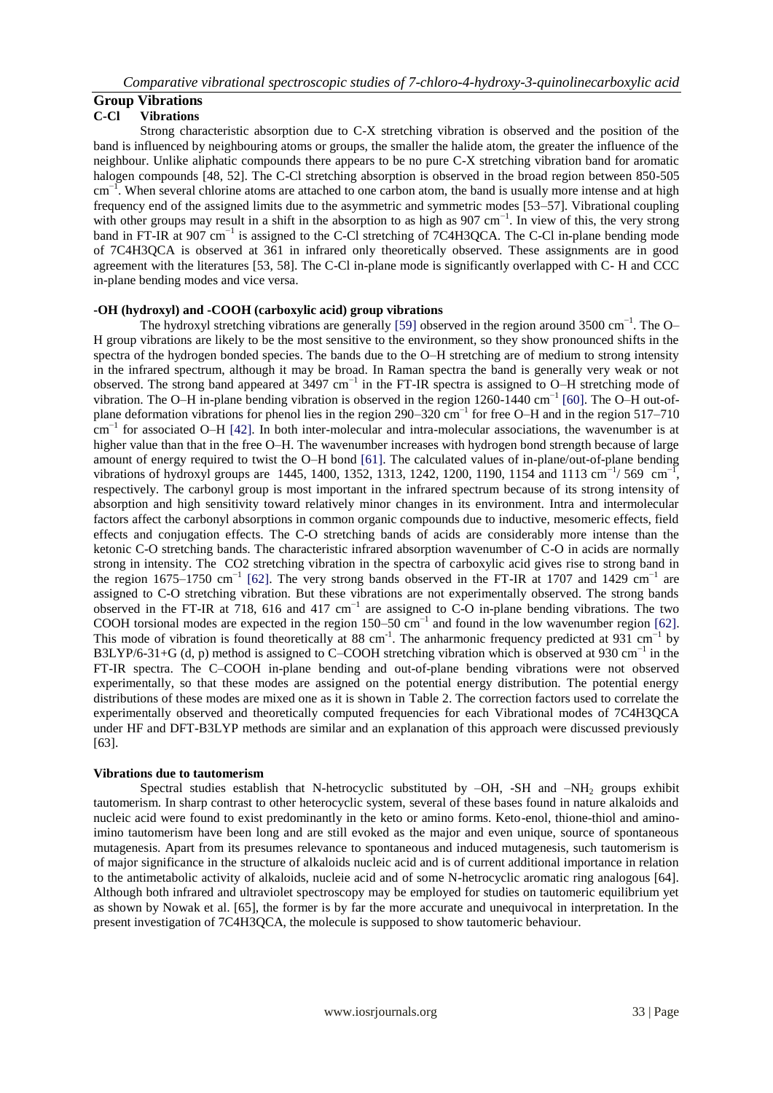#### **Group Vibrations C-Cl Vibrations**

Strong characteristic absorption due to C-X stretching vibration is observed and the position of the band is influenced by neighbouring atoms or groups, the smaller the halide atom, the greater the influence of the neighbour. Unlike aliphatic compounds there appears to be no pure C-X stretching vibration band for aromatic halogen compounds [48, 52]. The C-Cl stretching absorption is observed in the broad region between 850-505 cm<sup>-1</sup>. When several chlorine atoms are attached to one carbon atom, the band is usually more intense and at high frequency end of the assigned limits due to the asymmetric and symmetric modes [53–57]. Vibrational coupling with other groups may result in a shift in the absorption to as high as 907 cm<sup>-1</sup>. In view of this, the very strong band in FT-IR at 907 cm<sup>-1</sup> is assigned to the C-Cl stretching of 7C4H3QCA. The C-Cl in-plane bending mode of 7C4H3QCA is observed at 361 in infrared only theoretically observed. These assignments are in good agreement with the literatures [53, 58]. The C-Cl in-plane mode is significantly overlapped with C- H and CCC in-plane bending modes and vice versa.

### **-OH (hydroxyl) and -COOH (carboxylic acid) group vibrations**

The hydroxyl stretching vibrations are generally [59] observed in the region around 3500 cm<sup>-1</sup>. The O– H group vibrations are likely to be the most sensitive to the environment, so they show pronounced shifts in the spectra of the hydrogen bonded species. The bands due to the O–H stretching are of medium to strong intensity in the infrared spectrum, although it may be broad. In Raman spectra the band is generally very weak or not observed. The strong band appeared at 3497 cm<sup>-1</sup> in the FT-IR spectra is assigned to O–H stretching mode of vibration. The O–H in-plane bending vibration is observed in the region 1260-1440 cm<sup>-1</sup> [60]. The O–H out-ofplane deformation vibrations for phenol lies in the region 290–320 cm<sup>-1</sup> for free O–H and in the region 517–710 cm−1 for associated O–H [42]. In both inter-molecular and intra-molecular associations, the wavenumber is at higher value than that in the free O–H. The wavenumber increases with hydrogen bond strength because of large amount of energy required to twist the O–H bond [61]. The calculated values of in-plane/out-of-plane bending vibrations of hydroxyl groups are 1445, 1400, 1352, 1313, 1242, 1200, 1190, 1154 and 1113 cm<sup>-1</sup>/569 cm<sup>-1</sup>, respectively. The carbonyl group is most important in the infrared spectrum because of its strong intensity of absorption and high sensitivity toward relatively minor changes in its environment. Intra and intermolecular factors affect the carbonyl absorptions in common organic compounds due to inductive, mesomeric effects, field effects and conjugation effects. The C-O stretching bands of acids are considerably more intense than the ketonic C-O stretching bands. The characteristic infrared absorption wavenumber of C-O in acids are normally strong in intensity. The CO2 stretching vibration in the spectra of carboxylic acid gives rise to strong band in the region 1675–1750 cm<sup>-1</sup> [62]. The very strong bands observed in the FT-IR at 1707 and 1429 cm<sup>-1</sup> are assigned to C-O stretching vibration. But these vibrations are not experimentally observed. The strong bands observed in the FT-IR at 718, 616 and 417 cm<sup>-1</sup> are assigned to C-O in-plane bending vibrations. The two COOH torsional modes are expected in the region  $150-50$  cm<sup>-1</sup> and found in the low wavenumber region [62]. This mode of vibration is found theoretically at 88 cm<sup>-1</sup>. The anharmonic frequency predicted at 931 cm<sup>-1</sup> by B3LYP/6-31+G (d, p) method is assigned to C–COOH stretching vibration which is observed at 930 cm<sup>-1</sup> in the FT-IR spectra. The C–COOH in-plane bending and out-of-plane bending vibrations were not observed experimentally, so that these modes are assigned on the potential energy distribution. The potential energy distributions of these modes are mixed one as it is shown in Table 2. The correction factors used to correlate the experimentally observed and theoretically computed frequencies for each Vibrational modes of 7C4H3QCA under HF and DFT-B3LYP methods are similar and an explanation of this approach were discussed previously [63].

### **Vibrations due to tautomerism**

Spectral studies establish that N-hetrocyclic substituted by  $-OH$ ,  $-SH$  and  $-NH<sub>2</sub>$  groups exhibit tautomerism. In sharp contrast to other heterocyclic system, several of these bases found in nature alkaloids and nucleic acid were found to exist predominantly in the keto or amino forms. Keto-enol, thione-thiol and aminoimino tautomerism have been long and are still evoked as the major and even unique, source of spontaneous mutagenesis. Apart from its presumes relevance to spontaneous and induced mutagenesis, such tautomerism is of major significance in the structure of alkaloids nucleic acid and is of current additional importance in relation to the antimetabolic activity of alkaloids, nucleie acid and of some N-hetrocyclic aromatic ring analogous [64]. Although both infrared and ultraviolet spectroscopy may be employed for studies on tautomeric equilibrium yet as shown by Nowak et al. [65], the former is by far the more accurate and unequivocal in interpretation. In the present investigation of 7C4H3QCA, the molecule is supposed to show tautomeric behaviour.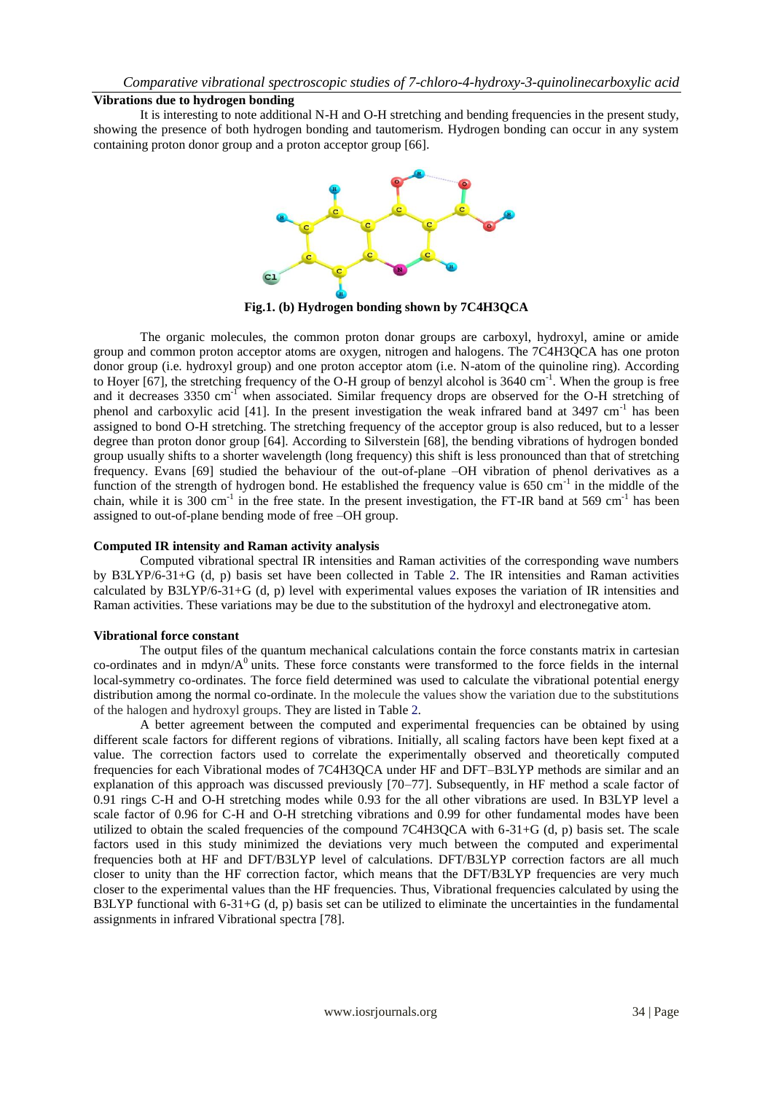## **Vibrations due to hydrogen bonding**

It is interesting to note additional N-H and O-H stretching and bending frequencies in the present study, showing the presence of both hydrogen bonding and tautomerism. Hydrogen bonding can occur in any system containing proton donor group and a proton acceptor group [66].



**Fig.1. (b) Hydrogen bonding shown by 7C4H3QCA**

The organic molecules, the common proton donar groups are carboxyl, hydroxyl, amine or amide group and common proton acceptor atoms are oxygen, nitrogen and halogens. The 7C4H3QCA has one proton donor group (i.e. hydroxyl group) and one proton acceptor atom (i.e. N-atom of the quinoline ring). According to Hoyer [67], the stretching frequency of the O-H group of benzyl alcohol is 3640 cm<sup>-1</sup>. When the group is free and it decreases 3350 cm<sup>-1</sup> when associated. Similar frequency drops are observed for the O-H stretching of phenol and carboxylic acid [41]. In the present investigation the weak infrared band at 3497 cm<sup>-1</sup> has been assigned to bond O-H stretching. The stretching frequency of the acceptor group is also reduced, but to a lesser degree than proton donor group [64]. According to Silverstein [68], the bending vibrations of hydrogen bonded group usually shifts to a shorter wavelength (long frequency) this shift is less pronounced than that of stretching frequency. Evans [69] studied the behaviour of the out-of-plane –OH vibration of phenol derivatives as a function of the strength of hydrogen bond. He established the frequency value is 650 cm<sup>-1</sup> in the middle of the chain, while it is 300 cm<sup>-1</sup> in the free state. In the present investigation, the FT-IR band at 569 cm<sup>-1</sup> has been assigned to out-of-plane bending mode of free –OH group.

## **Computed IR intensity and Raman activity analysis**

Computed vibrational spectral IR intensities and Raman activities of the corresponding wave numbers by B3LYP/6-31+G (d, p) basis set have been collected in Table 2. The IR intensities and Raman activities calculated by B3LYP/6-31+G (d, p) level with experimental values exposes the variation of IR intensities and Raman activities. These variations may be due to the substitution of the hydroxyl and electronegative atom.

### **Vibrational force constant**

The output files of the quantum mechanical calculations contain the force constants matrix in cartesian co-ordinates and in mdyn/ $A<sup>0</sup>$  units. These force constants were transformed to the force fields in the internal local-symmetry co-ordinates. The force field determined was used to calculate the vibrational potential energy distribution among the normal co-ordinate. In the molecule the values show the variation due to the substitutions of the halogen and hydroxyl groups. They are listed in Table 2.

A better agreement between the computed and experimental frequencies can be obtained by using different scale factors for different regions of vibrations. Initially, all scaling factors have been kept fixed at a value. The correction factors used to correlate the experimentally observed and theoretically computed frequencies for each Vibrational modes of 7C4H3QCA under HF and DFT–B3LYP methods are similar and an explanation of this approach was discussed previously [70–77]. Subsequently, in HF method a scale factor of 0.91 rings C-H and O-H stretching modes while 0.93 for the all other vibrations are used. In B3LYP level a scale factor of 0.96 for C-H and O-H stretching vibrations and 0.99 for other fundamental modes have been utilized to obtain the scaled frequencies of the compound 7C4H3QCA with 6-31+G (d, p) basis set. The scale factors used in this study minimized the deviations very much between the computed and experimental frequencies both at HF and DFT/B3LYP level of calculations. DFT/B3LYP correction factors are all much closer to unity than the HF correction factor, which means that the DFT/B3LYP frequencies are very much closer to the experimental values than the HF frequencies. Thus, Vibrational frequencies calculated by using the B3LYP functional with 6-31+G (d, p) basis set can be utilized to eliminate the uncertainties in the fundamental assignments in infrared Vibrational spectra [78].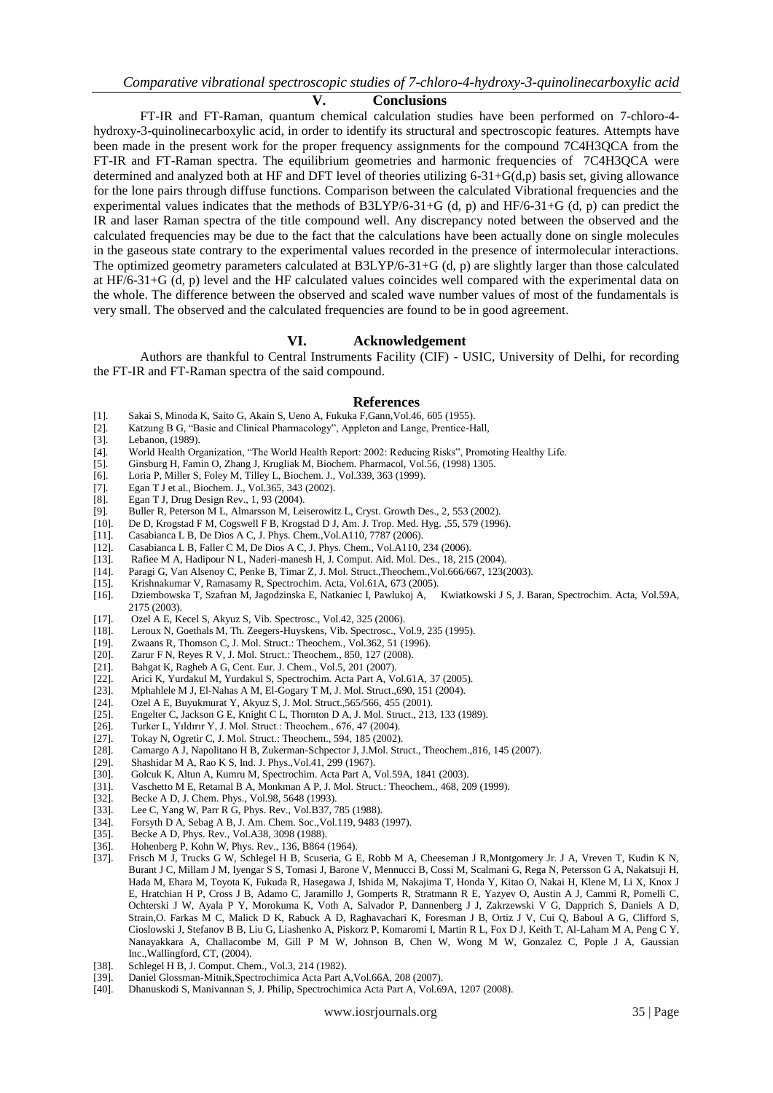#### **V. Conclusions**

FT-IR and FT-Raman, quantum chemical calculation studies have been performed on 7-chloro-4 hydroxy-3-quinolinecarboxylic acid, in order to identify its structural and spectroscopic features. Attempts have been made in the present work for the proper frequency assignments for the compound 7C4H3QCA from the FT-IR and FT-Raman spectra. The equilibrium geometries and harmonic frequencies of 7C4H3QCA were determined and analyzed both at HF and DFT level of theories utilizing 6-31+G(d,p) basis set, giving allowance for the lone pairs through diffuse functions. Comparison between the calculated Vibrational frequencies and the experimental values indicates that the methods of B3LYP/6-31+G (d, p) and HF/6-31+G (d, p) can predict the IR and laser Raman spectra of the title compound well. Any discrepancy noted between the observed and the calculated frequencies may be due to the fact that the calculations have been actually done on single molecules in the gaseous state contrary to the experimental values recorded in the presence of intermolecular interactions. The optimized geometry parameters calculated at B3LYP/6-31+G (d, p) are slightly larger than those calculated at HF/6-31+G (d, p) level and the HF calculated values coincides well compared with the experimental data on the whole. The difference between the observed and scaled wave number values of most of the fundamentals is very small. The observed and the calculated frequencies are found to be in good agreement.

#### **VI. Acknowledgement**

Authors are thankful to Central Instruments Facility (CIF) - USIC, University of Delhi, for recording the FT-IR and FT-Raman spectra of the said compound.

#### **References**

- [1]. Sakai S, Minoda K, Saito G, Akain S, Ueno A, Fukuka F,Gann,Vol.46, 605 (1955).
- Katzung B G, "Basic and Clinical Pharmacology", Appleton and Lange, Prentice-Hall,
- [3]. Lebanon, (1989).
- [4]. World Health Organization, "The World Health Report: 2002: Reducing Risks", Promoting Healthy Life.
- [5]. Ginsburg H, Famin O, Zhang J, Krugliak M, Biochem. Pharmacol, Vol.56, (1998) 1305.
- [6]. Loria P, Miller S, Foley M, Tilley L, Biochem. J., Vol.339, 363 (1999).
- [7]. Egan T J et al., Biochem. J., Vol.365, 343 (2002).
- [8]. Egan T J, Drug Design Rev., 1, 93 (2004).<br>[9]. Buller R, Peterson M L, Almarsson M, Lei
- Buller R, Peterson M L, Almarsson M, Leiserowitz L, Cryst. Growth Des., 2, 553 (2002).
- [10]. De D, Krogstad F M, Cogswell F B, Krogstad D J, Am. J. Trop. Med. Hyg. ,55, 579 (1996).
- 
- [11]. Casabianca L B, De Dios A C, J. Phys. Chem.,Vol.A110, 7787 (2006). Casabianca L B, Faller C M, De Dios A C, J. Phys. Chem., Vol.A110, 234 (2006).
- [13]. Rafiee M A, Hadipour N L, Naderi-manesh H, J. Comput. Aid. Mol. Des., 18, 215 (2004).
- [14]. Paragi G, Van Alsenoy C, Penke B, Timar Z, J. Mol. Struct.,Theochem.,Vol.666/667, 123(2003).
- 
- [15]. Krishnakumar V, Ramasamy R, Spectrochim. Acta, Vol.61A, 673 (2005).<br>[16]. Dziembowska T, Szafran M, Jagodzinska E, Natkaniec I, Pawlukoj A, Kwiatkowski J S, J. Baran, Spectrochim. Acta, Vol.59A, [16]. Dziembowska T, Szafran M, Jagodzinska E, Natkaniec I, Pawlukoj A, 2175 (2003).
- [17]. Ozel A E, Kecel S, Akyuz S, Vib. Spectrosc., Vol.42, 325 (2006).<br>[18]. Leroux N, Goethals M, Th. Zeegers-Huyskens, Vib. Spectrosc., V
- Leroux N, Goethals M, Th. Zeegers-Huyskens, Vib. Spectrosc., Vol.9, 235 (1995).
- [19]. Zwaans R, Thomson C, J. Mol. Struct.: Theochem., Vol.362, 51 (1996).
- [20]. Zarur F N, Reyes R V, J. Mol. Struct.: Theochem., 850, 127 (2008).
- [21]. Bahgat K, Ragheb A G, Cent. Eur. J. Chem., Vol.5, 201 (2007).
- [22]. Arici K, Yurdakul M, Yurdakul S, Spectrochim. Acta Part A, Vol.61A, 37 (2005).
- [23]. Mphahlele M J, El-Nahas A M, El-Gogary T M, J. Mol. Struct.,690, 151 (2004).
- [24]. Ozel A E, Buyukmurat Y, Akyuz S, J. Mol. Struct.,565/566, 455 (2001).
- [25]. Engelter C, Jackson G E, Knight C L, Thornton D A, J. Mol. Struct., 213, 133 (1989).
- [26]. Turker L, Yıldırır Y, J. Mol. Struct.: Theochem., 676, 47 (2004).
- [27]. Tokay N, Ogretir C, J. Mol. Struct.: Theochem., 594, 185 (2002).
- [28]. Camargo A J, Napolitano H B, Zukerman-Schpector J, J.Mol. Struct., Theochem., 816, 145 (2007). [29]. Shashidar M A, Rao K S, Ind. J. Phys., Vol.41, 299 (1967).
- [29]. Shashidar M A, Rao K S, Ind. J. Phys.,Vol.41, 299 (1967).
- [30]. Golcuk K, Altun A, Kumru M, Spectrochim. Acta Part A, Vol.59A, 1841 (2003).
- [31]. Vaschetto M E, Retamal B A, Monkman A P, J. Mol. Struct.: Theochem., 468, 209 (1999).
- [32]. Becke A D, J. Chem. Phys., Vol.98, 5648 (1993).
- [33]. Lee C, Yang W, Parr R G, Phys. Rev., Vol.B37, 785 (1988).
- [34]. Forsyth D A, Sebag A B, J. Am. Chem. Soc.,Vol.119, 9483 (1997).
- [35]. Becke A D, Phys. Rev., Vol.A38, 3098 (1988).
- [36]. Hohenberg P, Kohn W, Phys. Rev., 136, B864 (1964).
- [37]. Frisch M J, Trucks G W, Schlegel H B, Scuseria, G E, Robb M A, Cheeseman J R,Montgomery Jr. J A, Vreven T, Kudin K N, Burant J C, Millam J M, Iyengar S S, Tomasi J, Barone V, Mennucci B, Cossi M, Scalmani G, Rega N, Petersson G A, Nakatsuji H, Hada M, Ehara M, Toyota K, Fukuda R, Hasegawa J, Ishida M, Nakajima T, Honda Y, Kitao O, Nakai H, Klene M, Li X, Knox J E, Hratchian H P, Cross J B, Adamo C, Jaramillo J, Gomperts R, Stratmann R E, Yazyev O, Austin A J, Cammi R, Pomelli C, Ochterski J W, Ayala P Y, Morokuma K, Voth A, Salvador P, Dannenberg J J, Zakrzewski V G, Dapprich S, Daniels A D, Strain,O. Farkas M C, Malick D K, Rabuck A D, Raghavachari K, Foresman J B, Ortiz J V, Cui Q, Baboul A G, Clifford S, Cioslowski J, Stefanov B B, Liu G, Liashenko A, Piskorz P, Komaromi I, Martin R L, Fox D J, Keith T, Al-Laham M A, Peng C Y, Nanayakkara A, Challacombe M, Gill P M W, Johnson B, Chen W, Wong M W, Gonzalez C, Pople J A, Gaussian Inc.,Wallingford, CT, (2004).
- [38]. Schlegel H B, J. Comput. Chem., Vol.3, 214 (1982).
- [39]. Daniel Glossman-Mitnik,Spectrochimica Acta Part A,Vol.66A, 208 (2007).
- [40]. Dhanuskodi S, Manivannan S, J. Philip, Spectrochimica Acta Part A, Vol.69A, 1207 (2008).

www.iosrjournals.org 35 | Page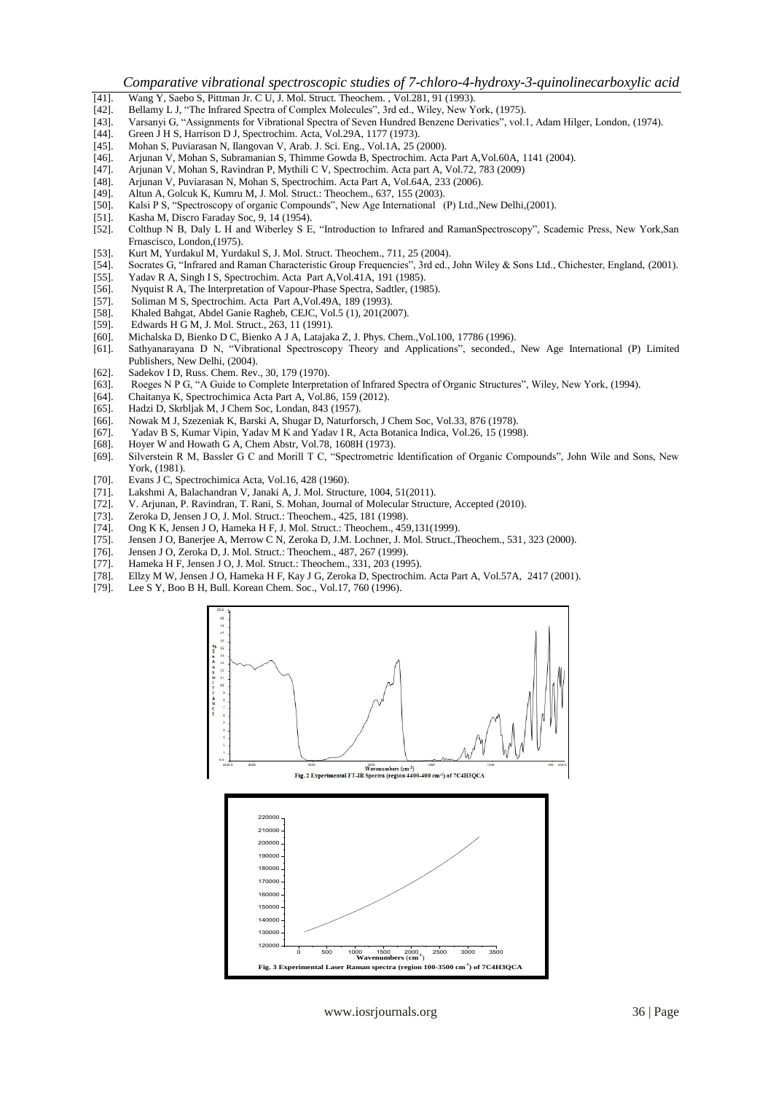*Comparative vibrational spectroscopic studies of 7-chloro-4-hydroxy-3-quinolinecarboxylic acid* 

- [41]. Wang Y, Saebo S, Pittman Jr. C U, J. Mol. Struct. Theochem. , Vol.281, 91 (1993).
- Bellamy L J, "The Infrared Spectra of Complex Molecules", 3rd ed., Wiley, New York, (1975).
- [43]. Varsanyi G, "Assignments for Vibrational Spectra of Seven Hundred Benzene Derivaties", vol.1, Adam Hilger, London, (1974).
- Green J H S, Harrison D J, Spectrochim. Acta, Vol.29A, 1177 (1973).
- [45]. Mohan S, Puviarasan N, Ilangovan V, Arab. J. Sci. Eng., Vol.1A, 25 (2000).
- [46]. Arjunan V, Mohan S, Subramanian S, Thimme Gowda B, Spectrochim. Acta Part A,Vol.60A, 1141 (2004).
- [47]. Arjunan V, Mohan S, Ravindran P, Mythili C V, Spectrochim. Acta part A, Vol.72, 783 (2009)
- [48]. Arjunan V, Puviarasan N, Mohan S, Spectrochim. Acta Part A, Vol.64A, 233 (2006).
- Altun A, Golcuk K, Kumru M, J. Mol. Struct.: Theochem., 637, 155 (2003).
- [50]. Kalsi P S, "Spectroscopy of organic Compounds", New Age International (P) Ltd., New Delhi, (2001). [51]. Kasha M, Discro Faraday Soc, 9, 14 (1954).
- Kasha M, Discro Faraday Soc, 9, 14 (1954).
- [52]. Colthup N B, Daly L H and Wiberley S E, "Introduction to Infrared and RamanSpectroscopy", Scademic Press, New York,San Frnascisco, London,(1975).
- [53]. Kurt M, Yurdakul M, Yurdakul S, J. Mol. Struct. Theochem., 711, 25 (2004).<br>[54]. Socrates G, "Infrared and Raman Characteristic Group Frequencies", 3rd ed.,
- [54]. Socrates G, "Infrared and Raman Characteristic Group Frequencies", 3rd ed., John Wiley & Sons Ltd., Chichester, England, (2001). [55]. Yadav R A, Singh I S, Spectrochim. Acta Part A, Vol.41A, 191 (1985).
- Yadav R A, Singh I S, Spectrochim. Acta Part A, Vol.41A, 191 (1985).
- [56]. Nyquist R A, The Interpretation of Vapour-Phase Spectra, Sadtler, (1985).
- [57]. Soliman M S, Spectrochim. Acta Part A,Vol.49A, 189 (1993).
- [58]. Khaled Bahgat, Abdel Ganie Ragheb, CEJC, Vol.5 (1), 201(2007).<br>[59]. Edwards H G M. J. Mol. Struct., 263, 11 (1991).
- Edwards H G M, J. Mol. Struct., 263, 11 (1991).
- [60]. Michalska D, Bienko D C, Bienko A J A, Latajaka Z, J. Phys. Chem.,Vol.100, 17786 (1996).
- [61]. Sathyanarayana D N, "Vibrational Spectroscopy Theory and Applications", seconded., New Age International (P) Limited Publishers, New Delhi, (2004).
- [62]. Sadekov I D, Russ. Chem. Rev., 30, 179 (1970).
- [63]. Roeges N P G, "A Guide to Complete Interpretation of Infrared Spectra of Organic Structures", Wiley, New York, (1994).<br>[64]. Chaitanya K. Spectrochimica Acta Part A. Vol.86, 159 (2012).
- [64]. Chaitanya K, Spectrochimica Acta Part A, Vol.86, 159 (2012).
- Hadzi D, Skrbliak M, J Chem Soc, Londan, 843 (1957).
- [66]. Nowak M J, Szezeniak K, Barski A, Shugar D, Naturforsch, J Chem Soc, Vol.33, 876 (1978).
- [67]. Yadav B S, Kumar Vipin, Yadav M K and Yadav I R, Acta Botanica Indica, Vol.26, 15 (1998).
- [68]. Hoyer W and Howath G A, Chem Abstr, Vol.78, 1608H (1973).
- [69]. Silverstein R M, Bassler G C and Morill T C, "Spectrometric Identification of Organic Compounds", John Wile and Sons, New York, (1981).
- [70]. Evans J C, Spectrochimica Acta, Vol.16, 428 (1960).
- Lakshmi A, Balachandran V, Janaki A, J, Mol. Structure, 1004, 51(2011).
- [72]. V. Arjunan, P. Ravindran, T. Rani, S. Mohan, Journal of Molecular Structure, Accepted (2010).
- [73]. Zeroka D, Jensen J O, J. Mol. Struct.: Theochem., 425, 181 (1998).
- [74]. Ong K K, Jensen J O, Hameka H F, J. Mol. Struct.: Theochem., 459,131(1999).
- Jensen J O, Banerjee A, Merrow C N, Zeroka D, J.M. Lochner, J. Mol. Struct.,Theochem., 531, 323 (2000).
- [76]. Jensen J O, Zeroka D, J. Mol. Struct.: Theochem., 487, 267 (1999).
- [77]. Hameka H F, Jensen J O, J. Mol. Struct.: Theochem., 331, 203 (1995).<br>[78]. Ellzy M W, Jensen J O, Hameka H F, Kay J G, Zeroka D, Spectrochim

120000

140000 150000 160000

 $130000 -$ 

- Ellzy M W, Jensen J O, Hameka H F, Kay J G, Zeroka D, Spectrochim. Acta Part A, Vol.57A, 2417 (2001).
- [79]. Lee S Y, Boo B H, Bull. Korean Chem. Soc., Vol.17, 760 (1996).



**Fig. 3 Experimental Laser Raman spectra (region 100-3500 cm-1) of 7C4H3QCA**

0 500 1000 1500 2000 2500 3000 3500

 $\binom{1}{1}$ 

**Wavenumbers** (**cm**